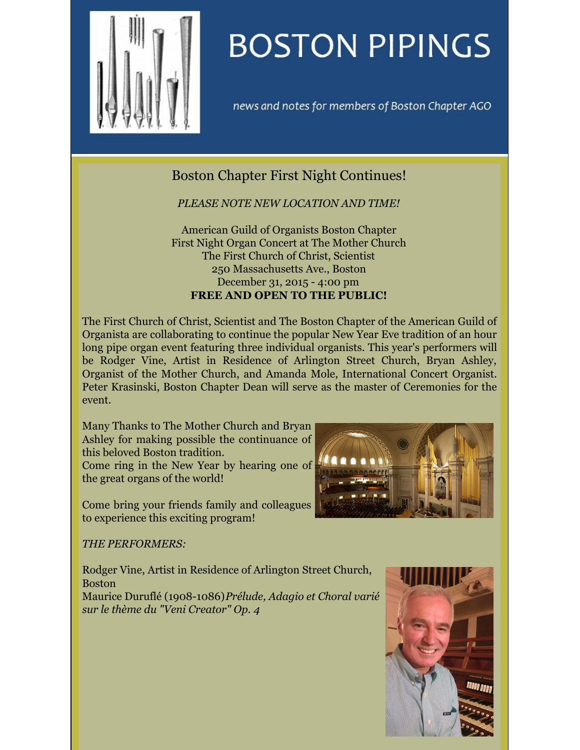

# **BOSTON PIPINGS**

news and notes for members of Boston Chapter AGO

## Boston Chapter First Night Continues!

*PLEASE NOTE NEW LOCATION AND TIME!*

American Guild of Organists Boston Chapter First Night Organ Concert at The Mother Church The First Church of Christ, Scientist 250 Massachusetts Ave., Boston December 31, 2015 - 4:00 pm **FREE AND OPEN TO THE PUBLIC!**

The First Church of Christ, Scientist and The Boston Chapter of the American Guild of Organista are collaborating to continue the popular New Year Eve tradition of an hour long pipe organ event featuring three individual organists. This year's performers will be Rodger Vine, Artist in Residence of Arlington Street Church, Bryan Ashley, Organist of the Mother Church, and Amanda Mole, International Concert Organist. Peter Krasinski, Boston Chapter Dean will serve as the master of Ceremonies for the event.

Many Thanks to The Mother Church and Bryan Ashley for making possible the continuance of this beloved Boston tradition.

Come ring in the New Year by hearing one of the great organs of the world!

Come bring your friends family and colleagues to experience this exciting program!



### *THE PERFORMERS:*

Rodger Vine, Artist in Residence of Arlington Street Church, Boston Maurice Duruflé (1908-1086)*Prélude, Adagio et Choral varié sur le thème du "Veni Creator" Op. 4*

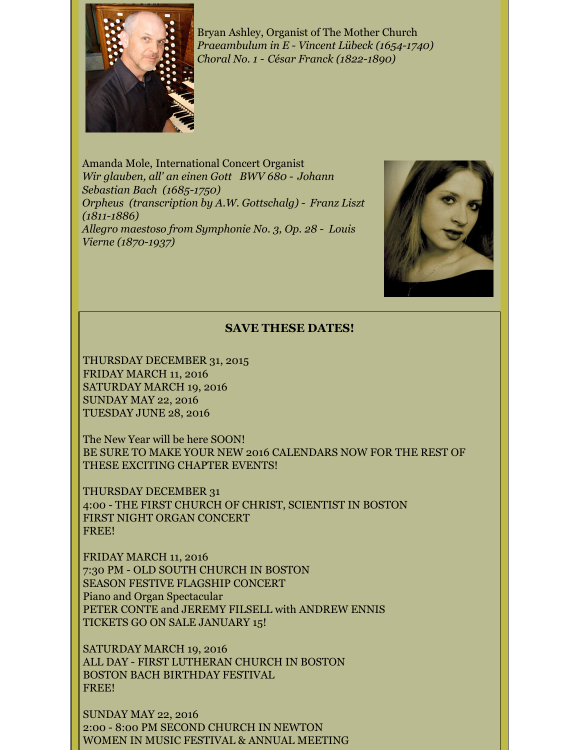

Bryan Ashley, Organist of The Mother Church *Praeambulum in E - Vincent Lübeck (1654-1740) Choral No. 1 - César Franck (1822-1890)*

Amanda Mole, International Concert Organist *Wir glauben, all' an einen Gott BWV 680 - Johann Sebastian Bach (1685-1750) Orpheus (transcription by A.W. Gottschalg) - Franz Liszt (1811-1886) Allegro maestoso from Symphonie No. 3, Op. 28 - Louis Vierne (1870-1937)*



### **SAVE THESE DATES!**

THURSDAY DECEMBER 31, 2015 FRIDAY MARCH 11, 2016 SATURDAY MARCH 19, 2016 SUNDAY MAY 22, 2016 TUESDAY JUNE 28, 2016

The New Year will be here SOON! BE SURE TO MAKE YOUR NEW 2016 CALENDARS NOW FOR THE REST OF THESE EXCITING CHAPTER EVENTS!

THURSDAY DECEMBER 31 4:00 - THE FIRST CHURCH OF CHRIST, SCIENTIST IN BOSTON FIRST NIGHT ORGAN CONCERT FREE!

FRIDAY MARCH 11, 2016 7:30 PM - OLD SOUTH CHURCH IN BOSTON SEASON FESTIVE FLAGSHIP CONCERT Piano and Organ Spectacular PETER CONTE and JEREMY FILSELL with ANDREW ENNIS TICKETS GO ON SALE JANUARY 15!

SATURDAY MARCH 19, 2016 ALL DAY - FIRST LUTHERAN CHURCH IN BOSTON BOSTON BACH BIRTHDAY FESTIVAL FREE!

SUNDAY MAY 22, 2016 2:00 - 8:00 PM SECOND CHURCH IN NEWTON WOMEN IN MUSIC FESTIVAL & ANNUAL MEETING